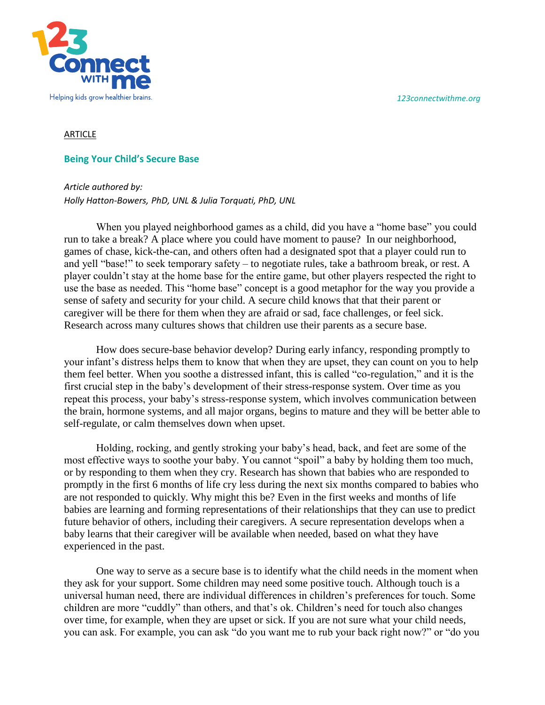*123connectwithme.org*



#### **ARTICLE**

#### **Being Your Child's Secure Base**

### *Article authored by: Holly Hatton-Bowers, PhD, UNL & Julia Torquati, PhD, UNL*

When you played neighborhood games as a child, did you have a "home base" you could run to take a break? A place where you could have moment to pause? In our neighborhood, games of chase, kick-the-can, and others often had a designated spot that a player could run to and yell "base!" to seek temporary safety – to negotiate rules, take a bathroom break, or rest. A player couldn't stay at the home base for the entire game, but other players respected the right to use the base as needed. This "home base" concept is a good metaphor for the way you provide a sense of safety and security for your child. A secure child knows that that their parent or caregiver will be there for them when they are afraid or sad, face challenges, or feel sick. Research across many cultures shows that children use their parents as a secure base.

How does secure-base behavior develop? During early infancy, responding promptly to your infant's distress helps them to know that when they are upset, they can count on you to help them feel better. When you soothe a distressed infant, this is called "co-regulation," and it is the first crucial step in the baby's development of their stress-response system. Over time as you repeat this process, your baby's stress-response system, which involves communication between the brain, hormone systems, and all major organs, begins to mature and they will be better able to self-regulate, or calm themselves down when upset.

Holding, rocking, and gently stroking your baby's head, back, and feet are some of the most effective ways to soothe your baby. You cannot "spoil" a baby by holding them too much, or by responding to them when they cry. Research has shown that babies who are responded to promptly in the first 6 months of life cry less during the next six months compared to babies who are not responded to quickly. Why might this be? Even in the first weeks and months of life babies are learning and forming representations of their relationships that they can use to predict future behavior of others, including their caregivers. A secure representation develops when a baby learns that their caregiver will be available when needed, based on what they have experienced in the past.

One way to serve as a secure base is to identify what the child needs in the moment when they ask for your support. Some children may need some positive touch. Although touch is a universal human need, there are individual differences in children's preferences for touch. Some children are more "cuddly" than others, and that's ok. Children's need for touch also changes over time, for example, when they are upset or sick. If you are not sure what your child needs, you can ask. For example, you can ask "do you want me to rub your back right now?" or "do you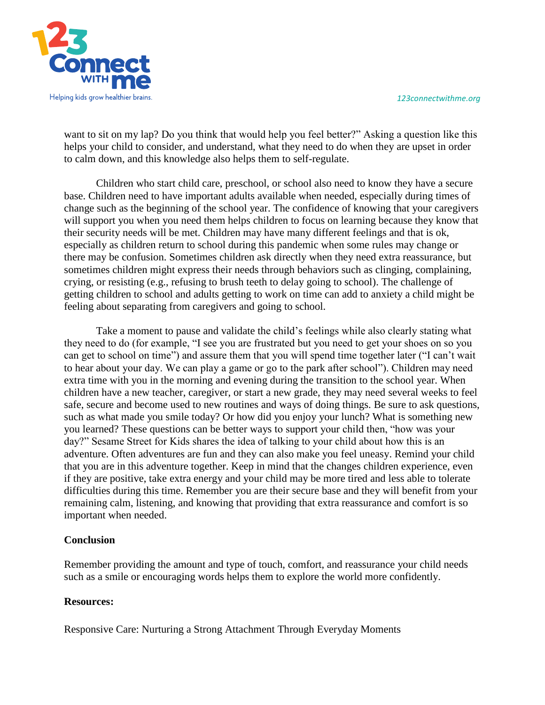*123connectwithme.org*



want to sit on my lap? Do you think that would help you feel better?" Asking a question like this helps your child to consider, and understand, what they need to do when they are upset in order to calm down, and this knowledge also helps them to self-regulate.

Children who start child care, preschool, or school also need to know they have a secure base. Children need to have important adults available when needed, especially during times of change such as the beginning of the school year. The confidence of knowing that your caregivers will support you when you need them helps children to focus on learning because they know that their security needs will be met. Children may have many different feelings and that is ok, especially as children return to school during this pandemic when some rules may change or there may be confusion. Sometimes children ask directly when they need extra reassurance, but sometimes children might express their needs through behaviors such as clinging, complaining, crying, or resisting (e.g., refusing to brush teeth to delay going to school). The challenge of getting children to school and adults getting to work on time can add to anxiety a child might be feeling about separating from caregivers and going to school.

Take a moment to pause and validate the child's feelings while also clearly stating what they need to do (for example, "I see you are frustrated but you need to get your shoes on so you can get to school on time") and assure them that you will spend time together later ("I can't wait to hear about your day. We can play a game or go to the park after school"). Children may need extra time with you in the morning and evening during the transition to the school year. When children have a new teacher, caregiver, or start a new grade, they may need several weeks to feel safe, secure and become used to new routines and ways of doing things. Be sure to ask questions, such as what made you smile today? Or how did you enjoy your lunch? What is something new you learned? These questions can be better ways to support your child then, "how was your day?" Sesame Street for Kids shares the idea of talking to your child about how this is an adventure. Often adventures are fun and they can also make you feel uneasy. Remind your child that you are in this adventure together. Keep in mind that the changes children experience, even if they are positive, take extra energy and your child may be more tired and less able to tolerate difficulties during this time. Remember you are their secure base and they will benefit from your remaining calm, listening, and knowing that providing that extra reassurance and comfort is so important when needed.

#### **Conclusion**

Remember providing the amount and type of touch, comfort, and reassurance your child needs such as a smile or encouraging words helps them to explore the world more confidently.

## **Resources:**

Responsive Care: Nurturing a Strong Attachment Through Everyday Moments